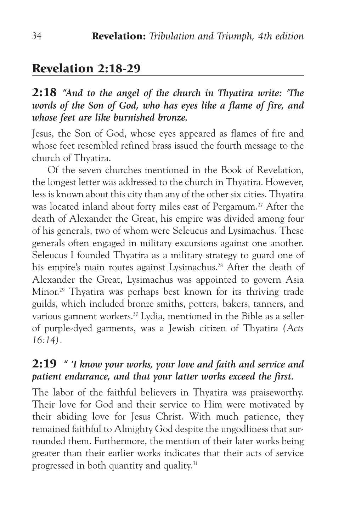# Revelation 2:18-29

2:18 *"And to the angel of the church in Thyatira write: 'The words of the Son of God, who has eyes like a flame of fire, and whose feet are like burnished bronze.*

Jesus, the Son of God, whose eyes appeared as flames of fire and whose feet resembled refined brass issued the fourth message to the church of Thyatira.

Of the seven churches mentioned in the Book of Revelation, the longest letter was addressed to the church in Thyatira. However, less is known about this city than any of the other six cities. Thyatira was located inland about forty miles east of Pergamum.<sup>27</sup> After the death of Alexander the Great, his empire was divided among four of his generals, two of whom were Seleucus and Lysimachus. These generals often engaged in military excursions against one another. Seleucus I founded Thyatira as a military strategy to guard one of his empire's main routes against Lysimachus.<sup>28</sup> After the death of Alexander the Great, Lysimachus was appointed to govern Asia Minor.29 Thyatira was perhaps best known for its thriving trade guilds, which included bronze smiths, potters, bakers, tanners, and various garment workers.30 Lydia, mentioned in the Bible as a seller of purple-dyed garments, was a Jewish citizen of Thyatira *(Acts 16:14).*

#### 2:19 *" 'I know your works, your love and faith and service and patient endurance, and that your latter works exceed the first.*

The labor of the faithful believers in Thyatira was praiseworthy. Their love for God and their service to Him were motivated by their abiding love for Jesus Christ. With much patience, they remained faithful to Almighty God despite the ungodliness that surrounded them. Furthermore, the mention of their later works being greater than their earlier works indicates that their acts of service progressed in both quantity and quality.31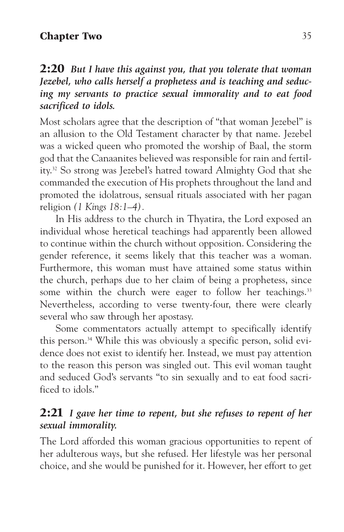### Chapter Two 35

### 2:20 *But I have this against you, that you tolerate that woman Jezebel, who calls herself a prophetess and is teaching and seducing my servants to practice sexual immorality and to eat food sacrificed to idols.*

Most scholars agree that the description of "that woman Jezebel" is an allusion to the Old Testament character by that name. Jezebel was a wicked queen who promoted the worship of Baal, the storm god that the Canaanites believed was responsible for rain and fertility.32 So strong was Jezebel's hatred toward Almighty God that she commanded the execution of His prophets throughout the land and promoted the idolatrous, sensual rituals associated with her pagan religion *(1 Kings 18:1–4).*

In His address to the church in Thyatira, the Lord exposed an individual whose heretical teachings had apparently been allowed to continue within the church without opposition. Considering the gender reference, it seems likely that this teacher was a woman. Furthermore, this woman must have attained some status within the church, perhaps due to her claim of being a prophetess, since some within the church were eager to follow her teachings.<sup>33</sup> Nevertheless, according to verse twenty-four, there were clearly several who saw through her apostasy.

Some commentators actually attempt to specifically identify this person.<sup>34</sup> While this was obviously a specific person, solid evidence does not exist to identify her. Instead, we must pay attention to the reason this person was singled out. This evil woman taught and seduced God's servants "to sin sexually and to eat food sacrificed to idols."

## 2:21 *I gave her time to repent, but she refuses to repent of her sexual immorality.*

The Lord afforded this woman gracious opportunities to repent of her adulterous ways, but she refused. Her lifestyle was her personal choice, and she would be punished for it. However, her effort to get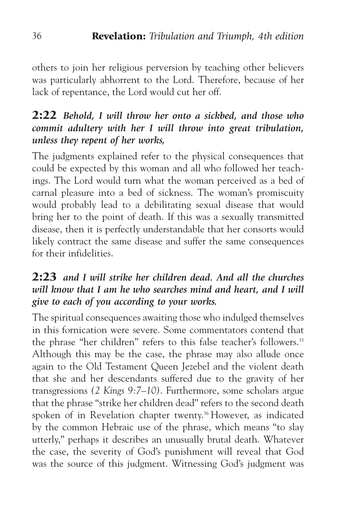others to join her religious perversion by teaching other believers was particularly abhorrent to the Lord. Therefore, because of her lack of repentance, the Lord would cut her off.

## 2:22 *Behold, I will throw her onto a sickbed, and those who commit adultery with her I will throw into great tribulation, unless they repent of her works,*

The judgments explained refer to the physical consequences that could be expected by this woman and all who followed her teachings. The Lord would turn what the woman perceived as a bed of carnal pleasure into a bed of sickness. The woman's promiscuity would probably lead to a debilitating sexual disease that would bring her to the point of death. If this was a sexually transmitted disease, then it is perfectly understandable that her consorts would likely contract the same disease and suffer the same consequences for their infidelities.

## 2:23 *and I will strike her children dead. And all the churches will know that I am he who searches mind and heart, and I will give to each of you according to your works.*

The spiritual consequences awaiting those who indulged themselves in this fornication were severe. Some commentators contend that the phrase "her children" refers to this false teacher's followers.<sup>35</sup> Although this may be the case, the phrase may also allude once again to the Old Testament Queen Jezebel and the violent death that she and her descendants suffered due to the gravity of her transgressions *(2 Kings 9:7–10)*. Furthermore, some scholars argue that the phrase "strike her children dead" refers to the second death spoken of in Revelation chapter twenty.<sup>36</sup> However, as indicated by the common Hebraic use of the phrase, which means "to slay utterly," perhaps it describes an unusually brutal death. Whatever the case, the severity of God's punishment will reveal that God was the source of this judgment. Witnessing God's judgment was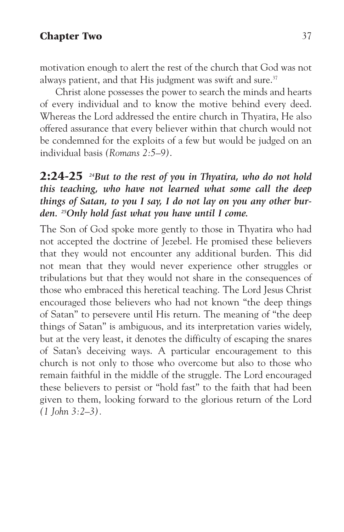#### Chapter Two 37

motivation enough to alert the rest of the church that God was not always patient, and that His judgment was swift and sure. $37$ 

Christ alone possesses the power to search the minds and hearts of every individual and to know the motive behind every deed. Whereas the Lord addressed the entire church in Thyatira, He also offered assurance that every believer within that church would not be condemned for the exploits of a few but would be judged on an individual basis *(Romans 2:5–9)*.

## 2:24-25 *24But to the rest of you in Thyatira, who do not hold this teaching, who have not learned what some call the deep things of Satan, to you I say, I do not lay on you any other burden. 25Only hold fast what you have until I come.*

The Son of God spoke more gently to those in Thyatira who had not accepted the doctrine of Jezebel. He promised these believers that they would not encounter any additional burden. This did not mean that they would never experience other struggles or tribulations but that they would not share in the consequences of those who embraced this heretical teaching. The Lord Jesus Christ encouraged those believers who had not known "the deep things of Satan" to persevere until His return. The meaning of "the deep things of Satan" is ambiguous, and its interpretation varies widely, but at the very least, it denotes the difficulty of escaping the snares of Satan's deceiving ways. A particular encouragement to this church is not only to those who overcome but also to those who remain faithful in the middle of the struggle. The Lord encouraged these believers to persist or "hold fast" to the faith that had been given to them, looking forward to the glorious return of the Lord *(1 John 3:2–3).*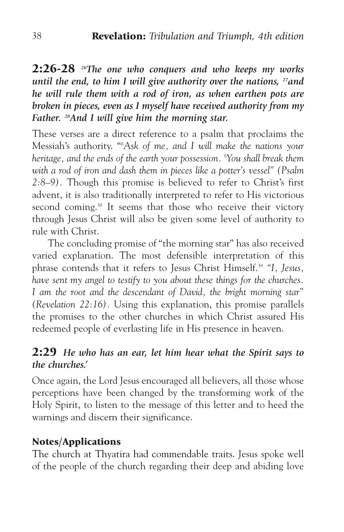2:26-28 *26The one who conquers and who keeps my works until the end, to him I will give authority over the nations, 27and he will rule them with a rod of iron, as when earthen pots are broken in pieces, even as I myself have received authority from my Father. 28And I will give him the morning star.*

These verses are a direct reference to a psalm that proclaims the Messiah's authority. "*<sup>8</sup> Ask of me, and I will make the nations your heritage, and the ends of the earth your possession. 9 You shall break them with a rod of iron and dash them in pieces like a potter's vessel" (Psalm 2:8–9).* Though this promise is believed to refer to Christ's first advent, it is also traditionally interpreted to refer to His victorious second coming.<sup>38</sup> It seems that those who receive their victory through Jesus Christ will also be given some level of authority to rule with Christ.

The concluding promise of "the morning star" has also received varied explanation. The most defensible interpretation of this phrase contends that it refers to Jesus Christ Himself.39 *"I, Jesus, have sent my angel to testify to you about these things for the churches. I am the root and the descendant of David, the bright morning star" (Revelation 22:16).* Using this explanation, this promise parallels the promises to the other churches in which Christ assured His redeemed people of everlasting life in His presence in heaven.

### 2:29 *He who has an ear, let him hear what the Spirit says to the churches.'*

Once again, the Lord Jesus encouraged all believers, all those whose perceptions have been changed by the transforming work of the Holy Spirit, to listen to the message of this letter and to heed the warnings and discern their significance.

### Notes/Applications

The church at Thyatira had commendable traits. Jesus spoke well of the people of the church regarding their deep and abiding love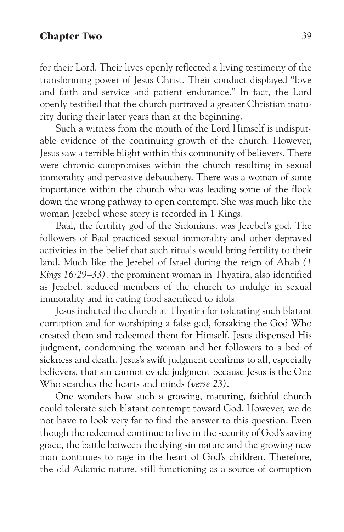#### Chapter Two 39

for their Lord. Their lives openly reflected a living testimony of the transforming power of Jesus Christ. Their conduct displayed "love and faith and service and patient endurance." In fact, the Lord openly testified that the church portrayed a greater Christian maturity during their later years than at the beginning.

Such a witness from the mouth of the Lord Himself is indisputable evidence of the continuing growth of the church. However, Jesus saw a terrible blight within this community of believers. There were chronic compromises within the church resulting in sexual immorality and pervasive debauchery. There was a woman of some importance within the church who was leading some of the flock down the wrong pathway to open contempt. She was much like the woman Jezebel whose story is recorded in 1 Kings.

Baal, the fertility god of the Sidonians, was Jezebel's god. The followers of Baal practiced sexual immorality and other depraved activities in the belief that such rituals would bring fertility to their land. Much like the Jezebel of Israel during the reign of Ahab *(1 Kings 16:29–33)*, the prominent woman in Thyatira, also identified as Jezebel, seduced members of the church to indulge in sexual immorality and in eating food sacrificed to idols.

Jesus indicted the church at Thyatira for tolerating such blatant corruption and for worshiping a false god, forsaking the God Who created them and redeemed them for Himself. Jesus dispensed His judgment, condemning the woman and her followers to a bed of sickness and death. Jesus's swift judgment confirms to all, especially believers, that sin cannot evade judgment because Jesus is the One Who searches the hearts and minds *(verse 23)*.

One wonders how such a growing, maturing, faithful church could tolerate such blatant contempt toward God. However, we do not have to look very far to find the answer to this question. Even though the redeemed continue to live in the security of God's saving grace, the battle between the dying sin nature and the growing new man continues to rage in the heart of God's children. Therefore, the old Adamic nature, still functioning as a source of corruption